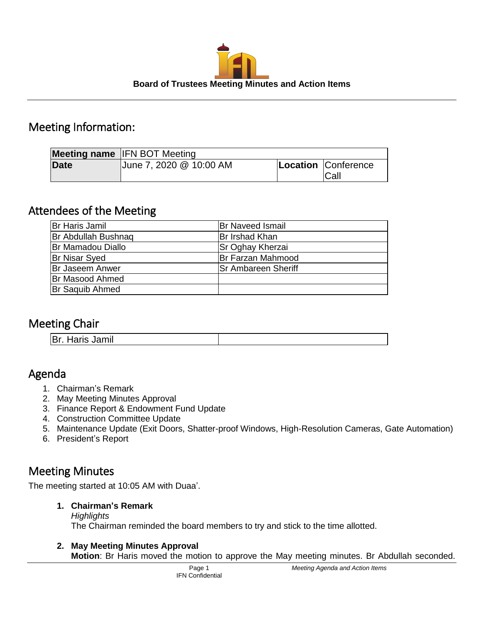

# Meeting Information:

|             | <b>Meeting name IFN BOT Meeting</b> |                             |
|-------------|-------------------------------------|-----------------------------|
| <b>Date</b> | June 7, 2020 @ 10:00 AM             | Location Conference<br>Call |

## Attendees of the Meeting

| Br Haris Jamil             | <b>Br Naveed Ismail</b>    |
|----------------------------|----------------------------|
| <b>Br Abdullah Bushnag</b> | Br Irshad Khan             |
| <b>Br Mamadou Diallo</b>   | <b>Sr Oghay Kherzai</b>    |
| <b>Br Nisar Syed</b>       | Br Farzan Mahmood          |
| <b>Br Jaseem Anwer</b>     | <b>Sr Ambareen Sheriff</b> |
| <b>Br Masood Ahmed</b>     |                            |
| <b>Br Saquib Ahmed</b>     |                            |

# Meeting Chair

| <b>Br. Haris Jamil</b> |
|------------------------|
|------------------------|

# Agenda

- 1. Chairman's Remark
- 2. May Meeting Minutes Approval
- 3. Finance Report & Endowment Fund Update
- 4. Construction Committee Update
- 5. Maintenance Update (Exit Doors, Shatter-proof Windows, High-Resolution Cameras, Gate Automation)
- 6. President's Report

# Meeting Minutes

The meeting started at 10:05 AM with Duaa'.

#### **1. Chairman's Remark**

*Highlights* The Chairman reminded the board members to try and stick to the time allotted.

## **2. May Meeting Minutes Approval**

**Motion**: Br Haris moved the motion to approve the May meeting minutes. Br Abdullah seconded.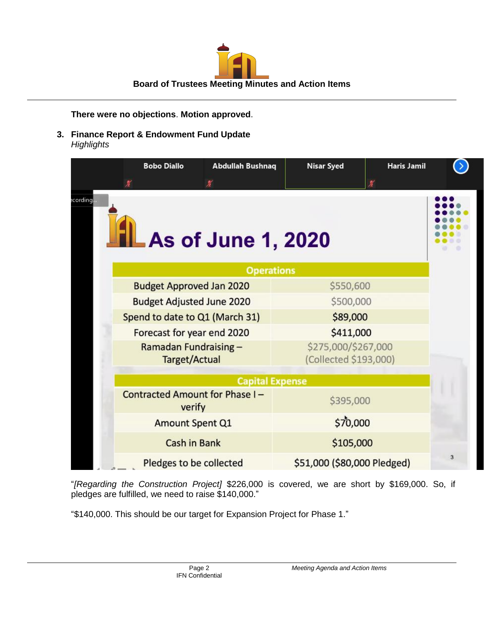

**There were no objections**. **Motion approved**.

**3. Finance Report & Endowment Fund Update** *Highlights*

| <b>Bobo Diallo</b>                              | <b>Abdullah Bushnaq</b>   | <b>Nisar Syed</b>                            | <b>Haris Jamil</b> |   |
|-------------------------------------------------|---------------------------|----------------------------------------------|--------------------|---|
| ecording                                        | <b>As of June 1, 2020</b> |                                              |                    |   |
|                                                 | <b>Operations</b>         |                                              |                    |   |
| <b>Budget Approved Jan 2020</b>                 |                           | \$550,600                                    |                    |   |
| <b>Budget Adjusted June 2020</b>                |                           | \$500,000                                    |                    |   |
| Spend to date to Q1 (March 31)                  |                           | \$89,000                                     |                    |   |
| Forecast for year end 2020                      |                           | \$411,000                                    |                    |   |
| Ramadan Fundraising-<br><b>Target/Actual</b>    |                           | \$275,000/\$267,000<br>(Collected \$193,000) |                    |   |
|                                                 | <b>Capital Expense</b>    |                                              |                    |   |
| <b>Contracted Amount for Phase I-</b><br>verify |                           | \$395,000                                    |                    |   |
| <b>Amount Spent Q1</b>                          |                           | \$70,000                                     |                    |   |
| <b>Cash in Bank</b>                             |                           | \$105,000                                    |                    |   |
| Pledges to be collected                         |                           | \$51,000 (\$80,000 Pledged)                  |                    | 3 |

"*[Regarding the Construction Project]* \$226,000 is covered, we are short by \$169,000. So, if pledges are fulfilled, we need to raise \$140,000."

"\$140,000. This should be our target for Expansion Project for Phase 1."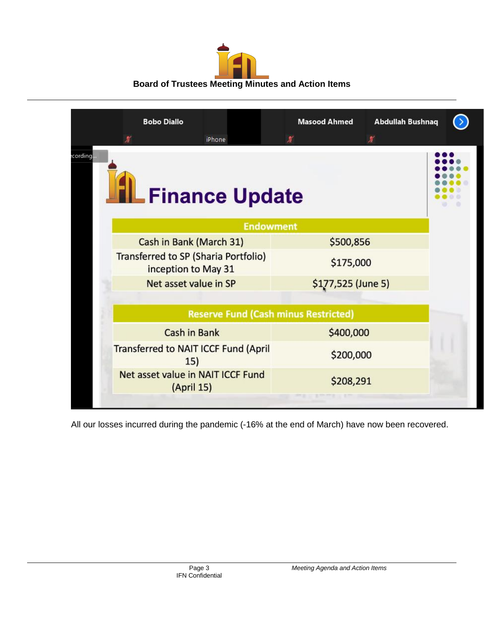| <b>Board of Trustees Meeting Minutes and Action Items</b> |
|-----------------------------------------------------------|

|          | <b>Bobo Diallo</b>                                                 | iPhone |                  | <b>Masood Ahmed</b><br>星                    | <b>Abdullah Bushnaq</b><br>覃 |  |
|----------|--------------------------------------------------------------------|--------|------------------|---------------------------------------------|------------------------------|--|
| cording. | <b>Finance Update</b>                                              |        |                  |                                             |                              |  |
|          |                                                                    |        | <b>Endowment</b> |                                             |                              |  |
|          | Cash in Bank (March 31)                                            |        |                  | \$500,856                                   |                              |  |
|          | <b>Transferred to SP (Sharia Portfolio)</b><br>inception to May 31 |        |                  | \$175,000                                   |                              |  |
|          | Net asset value in SP                                              |        |                  | \$177,525 (June 5)                          |                              |  |
|          |                                                                    |        |                  |                                             |                              |  |
|          |                                                                    |        |                  | <b>Reserve Fund (Cash minus Restricted)</b> |                              |  |
|          | <b>Cash in Bank</b>                                                |        |                  | \$400,000                                   |                              |  |
|          | <b>Transferred to NAIT ICCF Fund (April</b><br>15)                 |        |                  | \$200,000                                   |                              |  |
|          | Net asset value in NAIT ICCF Fund<br>(April 15)                    |        |                  | \$208,291                                   |                              |  |
|          |                                                                    |        |                  |                                             |                              |  |

All our losses incurred during the pandemic (-16% at the end of March) have now been recovered.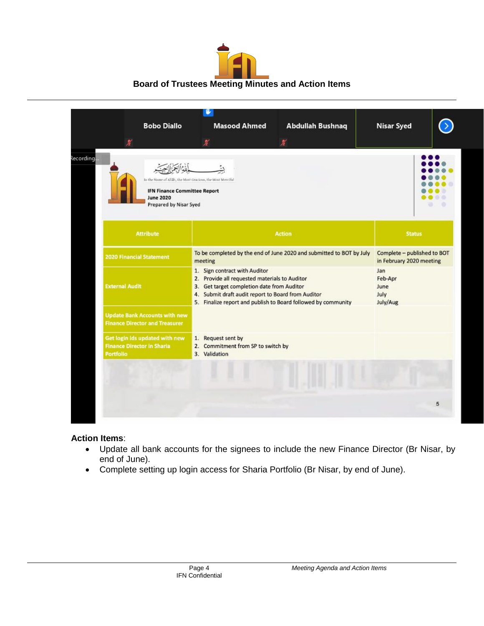# **Board of Trustees Meeting Minutes and Action Items**

| <b>Bobo Diallo</b>                                                                                                                                   | <b>Masood Ahmed</b>                                                                                                                                                                                                                                 | <b>Abdullah Bushnaq</b> | <b>Nisar Syed</b>                                       |
|------------------------------------------------------------------------------------------------------------------------------------------------------|-----------------------------------------------------------------------------------------------------------------------------------------------------------------------------------------------------------------------------------------------------|-------------------------|---------------------------------------------------------|
| 鐾<br>In the Name of Allah, the Most Gracious, the Most Merciful<br><b>IFN Finance Committee Report</b><br><b>June 2020</b><br>Prepared by Nisar Syed | ¥                                                                                                                                                                                                                                                   | 星                       |                                                         |
| <b>Attribute</b>                                                                                                                                     |                                                                                                                                                                                                                                                     | <b>Status</b>           |                                                         |
| <b>2020 Financial Statement</b>                                                                                                                      | To be completed by the end of June 2020 and submitted to BOT by July<br>meeting                                                                                                                                                                     |                         | Complete - published to BOT<br>in February 2020 meeting |
| <b>External Audit</b>                                                                                                                                | 1. Sign contract with Auditor<br>2. Provide all requested materials to Auditor<br>3. Get target completion date from Auditor<br>4. Submit draft audit report to Board from Auditor<br>5. Finalize report and publish to Board followed by community |                         | Jan<br>Feb-Apr<br>June<br>July<br>July/Aug              |
| <b>Update Bank Accounts with new</b><br><b>Finance Director and Treasurer</b>                                                                        |                                                                                                                                                                                                                                                     |                         |                                                         |
| Get login ids updated with new<br><b>Finance Director in Sharia</b><br>Portfolio                                                                     | 1. Request sent by<br>2. Commitment from SP to switch by<br>3. Validation                                                                                                                                                                           |                         |                                                         |
|                                                                                                                                                      |                                                                                                                                                                                                                                                     |                         |                                                         |
|                                                                                                                                                      |                                                                                                                                                                                                                                                     |                         | 5                                                       |

#### **Action Items**:

- Update all bank accounts for the signees to include the new Finance Director (Br Nisar, by end of June).
- Complete setting up login access for Sharia Portfolio (Br Nisar, by end of June).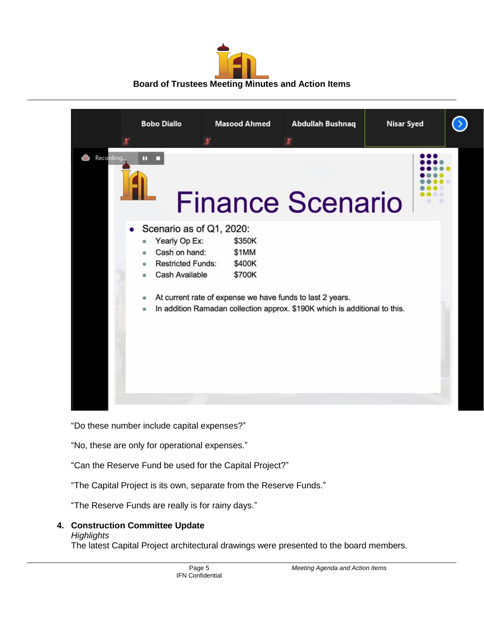



"Do these number include capital expenses?"

"No, these are only for operational expenses."

"Can the Reserve Fund be used for the Capital Project?"

"The Capital Project is its own, separate from the Reserve Funds."

"The Reserve Funds are really is for rainy days."

## **4. Construction Committee Update**

#### *Highlights*

The latest Capital Project architectural drawings were presented to the board members.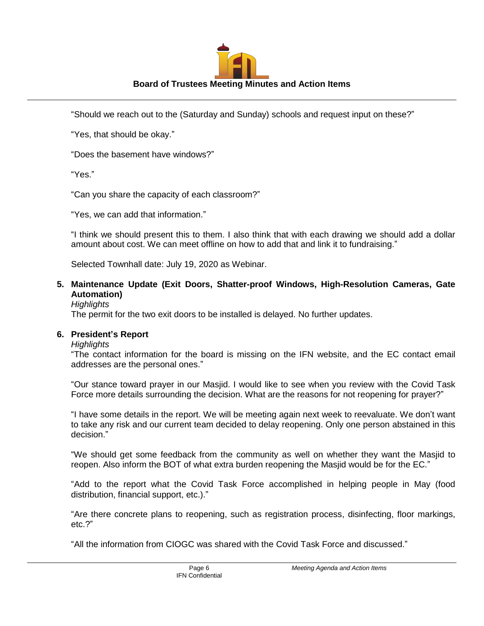

"Should we reach out to the (Saturday and Sunday) schools and request input on these?"

"Yes, that should be okay."

"Does the basement have windows?"

"Yes."

"Can you share the capacity of each classroom?"

"Yes, we can add that information."

"I think we should present this to them. I also think that with each drawing we should add a dollar amount about cost. We can meet offline on how to add that and link it to fundraising."

Selected Townhall date: July 19, 2020 as Webinar.

## **5. Maintenance Update (Exit Doors, Shatter-proof Windows, High-Resolution Cameras, Gate Automation)**

#### *Highlights*

The permit for the two exit doors to be installed is delayed. No further updates.

#### **6. President's Report**

#### *Highlights*

"The contact information for the board is missing on the IFN website, and the EC contact email addresses are the personal ones."

"Our stance toward prayer in our Masjid. I would like to see when you review with the Covid Task Force more details surrounding the decision. What are the reasons for not reopening for prayer?"

"I have some details in the report. We will be meeting again next week to reevaluate. We don't want to take any risk and our current team decided to delay reopening. Only one person abstained in this decision."

"We should get some feedback from the community as well on whether they want the Masjid to reopen. Also inform the BOT of what extra burden reopening the Masjid would be for the EC."

"Add to the report what the Covid Task Force accomplished in helping people in May (food distribution, financial support, etc.)."

"Are there concrete plans to reopening, such as registration process, disinfecting, floor markings, etc.?"

"All the information from CIOGC was shared with the Covid Task Force and discussed."